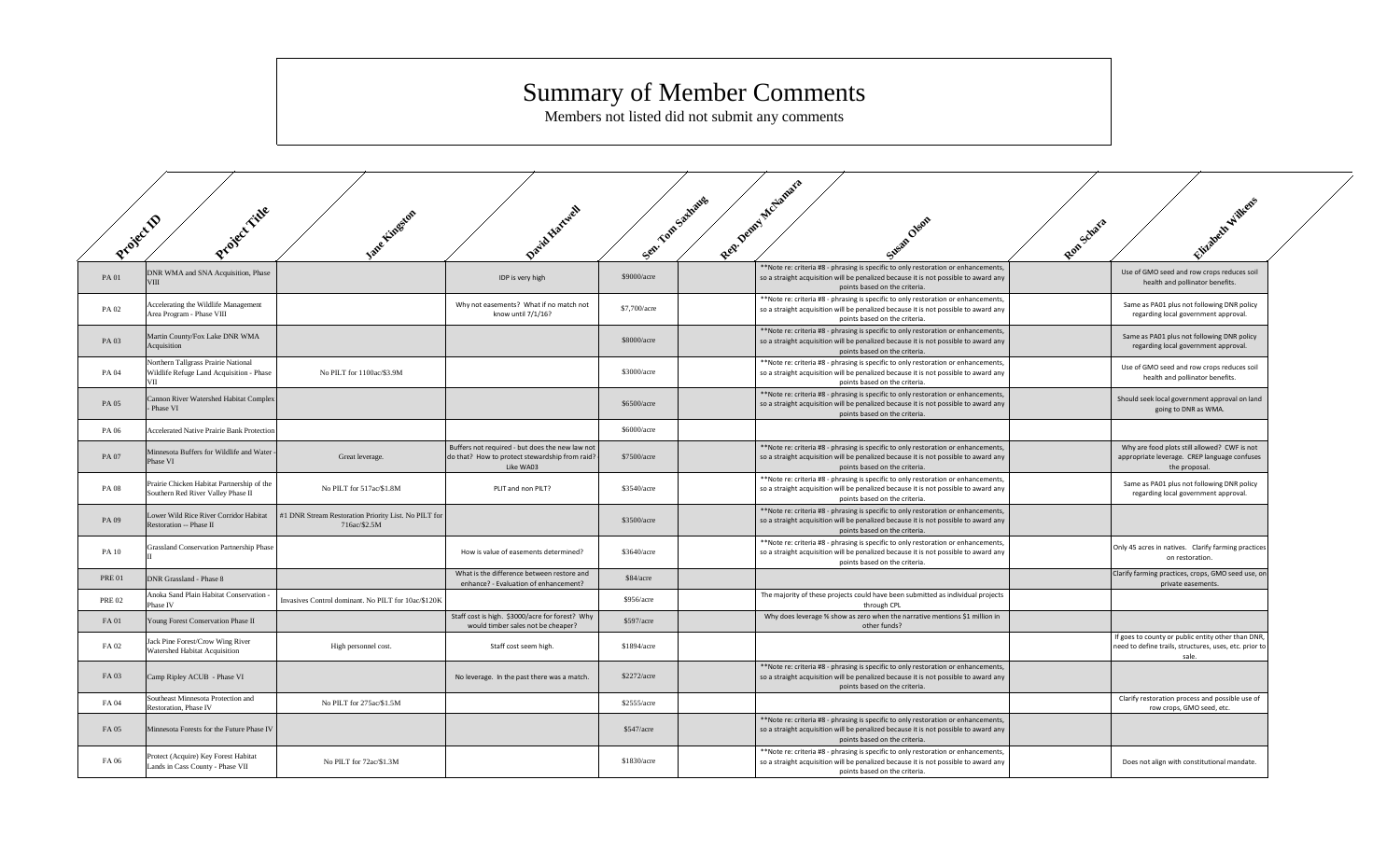## Summary of Member Comments

Members not listed did not submit any comments

| Project D     | Project ride                                                                           | Isne Linesdon                                                        | Darid Hartwell                                                                                                   | Sen. Yon Salvages | Rep Departments<br>Sugar Okan                                                                                                                                                                              | Rongelara | Elizabeth Williams                                                                                                    |  |
|---------------|----------------------------------------------------------------------------------------|----------------------------------------------------------------------|------------------------------------------------------------------------------------------------------------------|-------------------|------------------------------------------------------------------------------------------------------------------------------------------------------------------------------------------------------------|-----------|-----------------------------------------------------------------------------------------------------------------------|--|
| PA 01         | DNR WMA and SNA Acquisition, Phase<br><b>VIII</b>                                      |                                                                      | IDP is very high                                                                                                 | \$9000/acre       | **Note re: criteria #8 - phrasing is specific to only restoration or enhancements,<br>so a straight acquisition will be penalized because it is not possible to award any<br>points based on the criteria. |           | Use of GMO seed and row crops reduces soil<br>health and pollinator benefits.                                         |  |
| PA 02         | Accelerating the Wildlife Management<br>Area Program - Phase VIII                      |                                                                      | Why not easements? What if no match not<br>know until 7/1/16?                                                    | \$7,700/acre      | *Note re: criteria #8 - phrasing is specific to only restoration or enhancements,<br>so a straight acquisition will be penalized because it is not possible to award any<br>points based on the criteria.  |           | Same as PA01 plus not following DNR policy<br>regarding local government approval.                                    |  |
| PA 03         | Martin County/Fox Lake DNR WMA<br>Acquisition                                          |                                                                      |                                                                                                                  | \$8000/acre       | **Note re: criteria #8 - phrasing is specific to only restoration or enhancements,<br>so a straight acquisition will be penalized because it is not possible to award any<br>points based on the criteria. |           | Same as PA01 plus not following DNR policy<br>regarding local government approval.                                    |  |
| PA 04         | Northern Tallgrass Prairie National<br>Wildlife Refuge Land Acquisition - Phase<br>VII | No PILT for 1100ac/\$3.9M                                            |                                                                                                                  | \$3000/acre       | **Note re: criteria #8 - phrasing is specific to only restoration or enhancements,<br>so a straight acquisition will be penalized because it is not possible to award any<br>points based on the criteria. |           | Use of GMO seed and row crops reduces soil<br>health and pollinator benefits.                                         |  |
| PA 05         | Cannon River Watershed Habitat Complex<br>Phase VI                                     |                                                                      |                                                                                                                  | \$6500/acre       | **Note re: criteria #8 - phrasing is specific to only restoration or enhancements,<br>so a straight acquisition will be penalized because it is not possible to award any<br>points based on the criteria. |           | Should seek local government approval on land<br>going to DNR as WMA.                                                 |  |
| PA 06         | Accelerated Native Prairie Bank Protection                                             |                                                                      |                                                                                                                  | \$6000/acre       |                                                                                                                                                                                                            |           |                                                                                                                       |  |
| PA 07         | Minnesota Buffers for Wildlife and Water<br>Phase VI                                   | Great leverage.                                                      | Buffers not required - but does the new law not<br>do that? How to protect stewardship from raid? -<br>Like WA03 | \$7500/acre       | **Note re: criteria #8 - phrasing is specific to only restoration or enhancements,<br>so a straight acquisition will be penalized because it is not possible to award any<br>points based on the criteria. |           | Why are food plots still allowed? CWF is not<br>appropriate leverage. CREP language confuses<br>the proposal.         |  |
| PA 08         | Prairie Chicken Habitat Partnership of the<br>Southern Red River Valley Phase II       | No PILT for 517ac/\$1.8M                                             | PLIT and non PILT?                                                                                               | \$3540/acre       | **Note re: criteria #8 - phrasing is specific to only restoration or enhancements,<br>so a straight acquisition will be penalized because it is not possible to award any<br>points based on the criteria. |           | Same as PA01 plus not following DNR policy<br>regarding local government approval.                                    |  |
| PA 09         | Lower Wild Rice River Corridor Habitat<br>Restoration -- Phase II                      | #1 DNR Stream Restoration Priority List. No PILT for<br>716ac/\$2.5M |                                                                                                                  | \$3500/acre       | **Note re: criteria #8 - phrasing is specific to only restoration or enhancements,<br>so a straight acquisition will be penalized because it is not possible to award any<br>points based on the criteria. |           |                                                                                                                       |  |
| <b>PA 10</b>  | Grassland Conservation Partnership Phase                                               |                                                                      | How is value of easements determined?                                                                            | \$3640/acre       | **Note re: criteria #8 - phrasing is specific to only restoration or enhancements,<br>so a straight acquisition will be penalized because it is not possible to award any<br>points based on the criteria. |           | Only 45 acres in natives. Clarify farming practices<br>on restoration.                                                |  |
| <b>PRE 01</b> | DNR Grassland - Phase 8                                                                |                                                                      | What is the difference between restore and<br>enhance? - Evaluation of enhancement?                              | \$84/accre        |                                                                                                                                                                                                            |           | Clarify farming practices, crops, GMO seed use, on<br>private easements.                                              |  |
| <b>PRE 02</b> | Anoka Sand Plain Habitat Conservation -<br>Phase IV                                    | Invasives Control dominant. No PILT for 10ac/\$120K                  |                                                                                                                  | \$956/accre       | The majority of these projects could have been submitted as individual projects<br>through CPL                                                                                                             |           |                                                                                                                       |  |
| <b>FA01</b>   | Young Forest Conservation Phase II                                                     |                                                                      | Staff cost is high. \$3000/acre for forest? Why<br>would timber sales not be cheaper?                            | \$597/acre        | Why does leverage % show as zero when the narrative mentions \$1 million in<br>other funds?                                                                                                                |           |                                                                                                                       |  |
| FA 02         | Jack Pine Forest/Crow Wing River<br>Watershed Habitat Acquisition                      | High personnel cost.                                                 | Staff cost seem high.                                                                                            | \$1894/acre       |                                                                                                                                                                                                            |           | If goes to county or public entity other than DNR,<br>need to define trails, structures, uses, etc. prior to<br>sale. |  |
| FA 03         | Camp Ripley ACUB - Phase VI                                                            |                                                                      | No leverage. In the past there was a match.                                                                      | \$2272/acre       | **Note re: criteria #8 - phrasing is specific to only restoration or enhancements,<br>so a straight acquisition will be penalized because it is not possible to award any<br>points based on the criteria. |           |                                                                                                                       |  |
| FA 04         | Southeast Minnesota Protection and<br><b>Restoration</b> , Phase IV                    | No PILT for 275ac/\$1.5M                                             |                                                                                                                  | \$2555/acre       |                                                                                                                                                                                                            |           | Clarify restoration process and possible use of<br>row crops, GMO seed, etc.                                          |  |
| FA 05         | Minnesota Forests for the Future Phase IV                                              |                                                                      |                                                                                                                  | \$547/acre        | **Note re: criteria #8 - phrasing is specific to only restoration or enhancements,<br>so a straight acquisition will be penalized because it is not possible to award any<br>points based on the criteria. |           |                                                                                                                       |  |
| FA 06         | Protect (Acquire) Key Forest Habitat<br>Lands in Cass County - Phase VII               | No PILT for 72ac/\$1.3M                                              |                                                                                                                  | \$1830/acre       | **Note re: criteria #8 - phrasing is specific to only restoration or enhancements,<br>so a straight acquisition will be penalized because it is not possible to award any<br>points based on the criteria. |           | Does not align with constitutional mandate.                                                                           |  |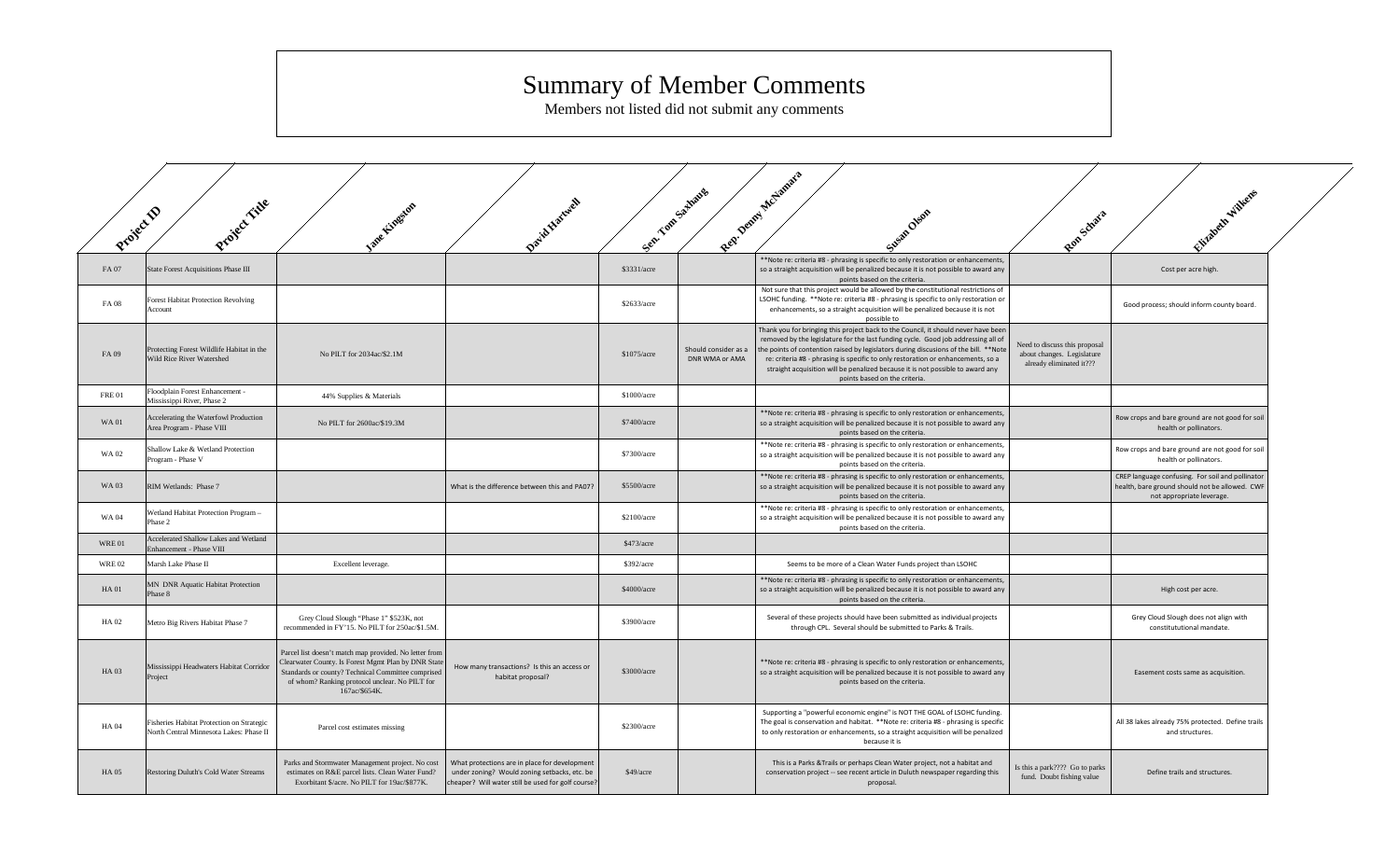## Summary of Member Comments

Members not listed did not submit any comments

| Project D    | Project ride                                                                         | Jane Lingston                                                                                                                                                                                                                          | David Hurtwell                                                                                                                                      | Sep.        | . Yom Sathang                          | Rep. Denny McLamars<br>Susan Oleon                                                                                                                                                                                                                                                                                                                                                                                                                                     | Rongeliara                                                                              | Elizabeth Williams                                                                                                              |  |
|--------------|--------------------------------------------------------------------------------------|----------------------------------------------------------------------------------------------------------------------------------------------------------------------------------------------------------------------------------------|-----------------------------------------------------------------------------------------------------------------------------------------------------|-------------|----------------------------------------|------------------------------------------------------------------------------------------------------------------------------------------------------------------------------------------------------------------------------------------------------------------------------------------------------------------------------------------------------------------------------------------------------------------------------------------------------------------------|-----------------------------------------------------------------------------------------|---------------------------------------------------------------------------------------------------------------------------------|--|
| FA 07        | State Forest Acquisitions Phase III                                                  |                                                                                                                                                                                                                                        |                                                                                                                                                     | \$3331/acre |                                        | **Note re: criteria #8 - phrasing is specific to only restoration or enhancements,<br>so a straight acquisition will be penalized because it is not possible to award any<br>points based on the criteria.                                                                                                                                                                                                                                                             |                                                                                         | Cost per acre high.                                                                                                             |  |
| FA 08        | <b>Forest Habitat Protection Revolving</b><br>Account                                |                                                                                                                                                                                                                                        |                                                                                                                                                     | \$2633/acre |                                        | Not sure that this project would be allowed by the constitutional restrictions of<br>LSOHC funding. **Note re: criteria #8 - phrasing is specific to only restoration or<br>enhancements, so a straight acquisition will be penalized because it is not<br>possible to                                                                                                                                                                                                 |                                                                                         | Good process; should inform county board.                                                                                       |  |
| FA 09        | Protecting Forest Wildlife Habitat in the<br>Wild Rice River Watershed               | No PILT for 2034ac/\$2.1M                                                                                                                                                                                                              |                                                                                                                                                     | \$1075/acre | Should consider as a<br>DNR WMA or AMA | Thank you for bringing this project back to the Council, it should never have been<br>removed by the legislature for the last funding cycle. Good job addressing all of<br>the points of contention raised by legislators during discusions of the bill. **Note<br>re: criteria #8 - phrasing is specific to only restoration or enhancements, so a<br>straight acquisition will be penalized because it is not possible to award any<br>points based on the criteria. | Need to discuss this proposal<br>about changes. Legislature<br>already eliminated it??? |                                                                                                                                 |  |
| <b>FRE01</b> | Floodplain Forest Enhancement -<br>Mississippi River, Phase 2                        | 44% Supplies & Materials                                                                                                                                                                                                               |                                                                                                                                                     | \$1000/acre |                                        |                                                                                                                                                                                                                                                                                                                                                                                                                                                                        |                                                                                         |                                                                                                                                 |  |
| <b>WA01</b>  | Accelerating the Waterfowl Production<br>Area Program - Phase VIII                   | No PILT for 2600ac/\$19.3M                                                                                                                                                                                                             |                                                                                                                                                     | \$7400/acre |                                        | **Note re: criteria #8 - phrasing is specific to only restoration or enhancements,<br>so a straight acquisition will be penalized because it is not possible to award any<br>points based on the criteria.                                                                                                                                                                                                                                                             |                                                                                         | Row crops and bare ground are not good for soil<br>health or pollinators.                                                       |  |
| <b>WA02</b>  | Shallow Lake & Wetland Protection<br>Program - Phase V                               |                                                                                                                                                                                                                                        |                                                                                                                                                     | \$7300/acre |                                        | **Note re: criteria #8 - phrasing is specific to only restoration or enhancements,<br>so a straight acquisition will be penalized because it is not possible to award any<br>points based on the criteria.                                                                                                                                                                                                                                                             |                                                                                         | Row crops and bare ground are not good for soil<br>health or pollinators.                                                       |  |
| <b>WA03</b>  | RIM Wetlands: Phase 7                                                                |                                                                                                                                                                                                                                        | What is the difference between this and PA07?                                                                                                       | \$5500/acre |                                        | **Note re: criteria #8 - phrasing is specific to only restoration or enhancements,<br>so a straight acquisition will be penalized because it is not possible to award any<br>points based on the criteria.                                                                                                                                                                                                                                                             |                                                                                         | CREP language confusing. For soil and pollinator<br>health, bare ground should not be allowed. CWF<br>not appropriate leverage. |  |
| <b>WA04</b>  | Wetland Habitat Protection Program-<br>Phase 2                                       |                                                                                                                                                                                                                                        |                                                                                                                                                     | \$2100/acre |                                        | **Note re: criteria #8 - phrasing is specific to only restoration or enhancements,<br>so a straight acquisition will be penalized because it is not possible to award any<br>points based on the criteria.                                                                                                                                                                                                                                                             |                                                                                         |                                                                                                                                 |  |
| <b>WRE01</b> | Accelerated Shallow Lakes and Wetland<br>Enhancement - Phase VIII                    |                                                                                                                                                                                                                                        |                                                                                                                                                     | \$473/acre  |                                        |                                                                                                                                                                                                                                                                                                                                                                                                                                                                        |                                                                                         |                                                                                                                                 |  |
| <b>WRE02</b> | Marsh Lake Phase II                                                                  | Excellent leverage.                                                                                                                                                                                                                    |                                                                                                                                                     | \$392/acre  |                                        | Seems to be more of a Clean Water Funds project than LSOHC                                                                                                                                                                                                                                                                                                                                                                                                             |                                                                                         |                                                                                                                                 |  |
| <b>HA01</b>  | MN DNR Aquatic Habitat Protection<br>Phase 8                                         |                                                                                                                                                                                                                                        |                                                                                                                                                     | \$4000/acre |                                        | **Note re: criteria #8 - phrasing is specific to only restoration or enhancements,<br>so a straight acquisition will be penalized because it is not possible to award any<br>points based on the criteria.                                                                                                                                                                                                                                                             |                                                                                         | High cost per acre.                                                                                                             |  |
| HA 02        | Metro Big Rivers Habitat Phase 7                                                     | Grey Cloud Slough "Phase 1" \$523K, not<br>recommended in FY'15. No PILT for 250ac/\$1.5M.                                                                                                                                             |                                                                                                                                                     | \$3900/acre |                                        | Several of these projects should have been submitted as individual projects<br>through CPL. Several should be submitted to Parks & Trails.                                                                                                                                                                                                                                                                                                                             |                                                                                         | Grey Cloud Slough does not align with<br>constitututional mandate.                                                              |  |
| <b>HA03</b>  | Mississippi Headwaters Habitat Corridor<br>Project                                   | Parcel list doesn't match map provided. No letter from<br>Clearwater County. Is Forest Mgmt Plan by DNR State<br>Standards or county? Technical Committee comprised<br>of whom? Ranking protocol unclear. No PILT for<br>167ac/\$654K. | How many transactions? Is this an access or<br>habitat proposal?                                                                                    | \$3000/acre |                                        | **Note re: criteria #8 - phrasing is specific to only restoration or enhancements,<br>so a straight acquisition will be penalized because it is not possible to award any<br>points based on the criteria.                                                                                                                                                                                                                                                             |                                                                                         | Easement costs same as acquisition.                                                                                             |  |
| <b>HA 04</b> | Fisheries Habitat Protection on Strategic<br>North Central Minnesota Lakes: Phase II | Parcel cost estimates missing                                                                                                                                                                                                          |                                                                                                                                                     | \$2300/acre |                                        | Supporting a "powerful economic engine" is NOT THE GOAL of LSOHC funding.<br>The goal is conservation and habitat. **Note re: criteria #8 - phrasing is specific<br>to only restoration or enhancements, so a straight acquisition will be penalized<br>because it is                                                                                                                                                                                                  |                                                                                         | All 38 lakes already 75% protected. Define trails<br>and structures.                                                            |  |
| <b>HA 05</b> | Restoring Duluth's Cold Water Streams                                                | Parks and Stormwater Management project. No cost<br>estimates on R&E parcel lists. Clean Water Fund?<br>Exorbitant \$/acre. No PILT for 19ac/\$877K.                                                                                   | What protections are in place for development<br>under zoning? Would zoning setbacks, etc. be<br>cheaper? Will water still be used for golf course? | \$49/acre   |                                        | This is a Parks & Trails or perhaps Clean Water project, not a habitat and<br>conservation project -- see recent article in Duluth newspaper regarding this<br>proposal.                                                                                                                                                                                                                                                                                               | Is this a park???? Go to parks<br>fund. Doubt fishing value                             | Define trails and structures.                                                                                                   |  |